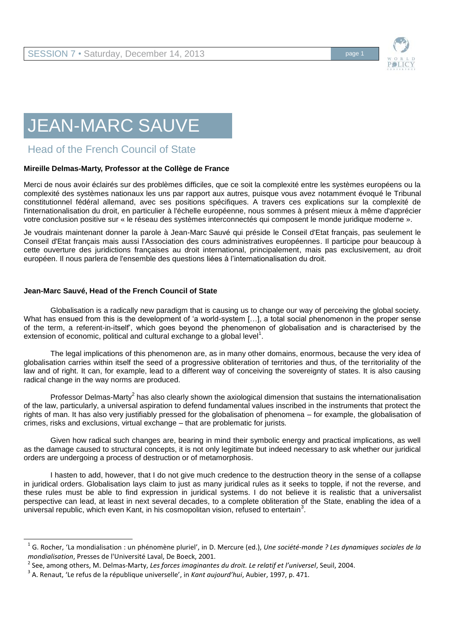

# JEAN-MARC SAUVE

# Head of the French Council of State

## **Mireille Delmas-Marty, Professor at the Collège de France**

Merci de nous avoir éclairés sur des problèmes difficiles, que ce soit la complexité entre les systèmes européens ou la complexité des systèmes nationaux les uns par rapport aux autres, puisque vous avez notamment évoqué le Tribunal constitutionnel fédéral allemand, avec ses positions spécifiques. A travers ces explications sur la complexité de l'internationalisation du droit, en particulier à l'échelle européenne, nous sommes à présent mieux à même d'apprécier votre conclusion positive sur « le réseau des systèmes interconnectés qui composent le monde juridique moderne ».

Je voudrais maintenant donner la parole à Jean-Marc Sauvé qui préside le Conseil d'Etat français, pas seulement le Conseil d'Etat français mais aussi l'Association des cours administratives européennes. Il participe pour beaucoup à cette ouverture des juridictions françaises au droit international, principalement, mais pas exclusivement, au droit européen. Il nous parlera de l'ensemble des questions liées à l'internationalisation du droit.

#### **Jean-Marc Sauvé, Head of the French Council of State**

l

Globalisation is a radically new paradigm that is causing us to change our way of perceiving the global society. What has ensued from this is the development of 'a world-system [...], a total social phenomenon in the proper sense of the term, a referent-in-itself', which goes beyond the phenomenon of globalisation and is characterised by the extension of economic, political and cultural exchange to a global level<sup>1</sup>.

The legal implications of this phenomenon are, as in many other domains, enormous, because the very idea of globalisation carries within itself the seed of a progressive obliteration of territories and thus, of the territoriality of the law and of right. It can, for example, lead to a different way of conceiving the sovereignty of states. It is also causing radical change in the way norms are produced.

Professor Delmas-Marty<sup>2</sup> has also clearly shown the axiological dimension that sustains the internationalisation of the law, particularly, a universal aspiration to defend fundamental values inscribed in the instruments that protect the rights of man. It has also very justifiably pressed for the globalisation of phenomena – for example, the globalisation of crimes, risks and exclusions, virtual exchange – that are problematic for jurists*.*

Given how radical such changes are, bearing in mind their symbolic energy and practical implications, as well as the damage caused to structural concepts, it is not only legitimate but indeed necessary to ask whether our juridical orders are undergoing a process of destruction or of metamorphosis.

I hasten to add, however, that I do not give much credence to the destruction theory in the sense of a collapse in juridical orders. Globalisation lays claim to just as many juridical rules as it seeks to topple, if not the reverse, and these rules must be able to find expression in juridical systems. I do not believe it is realistic that a universalist perspective can lead, at least in next several decades, to a complete obliteration of the State, enabling the idea of a universal republic, which even Kant, in his cosmopolitan vision, refused to entertain<sup>3</sup>.

<sup>1</sup> G. Rocher, 'La mondialisation : un phénomène pluriel', in D. Mercure (ed.), *Une société-monde ? Les dynamiques sociales de la mondialisation*, Presses de l'Université Laval, De Boeck, 2001.

<sup>2</sup> See, among others, M. Delmas-Marty, *Les forces imaginantes du droit. Le relatif et l'universel*, Seuil, 2004.

<sup>3</sup> A. Renaut, 'Le refus de la république universelle', in *Kant aujourd'hui*, Aubier, 1997, p. 471.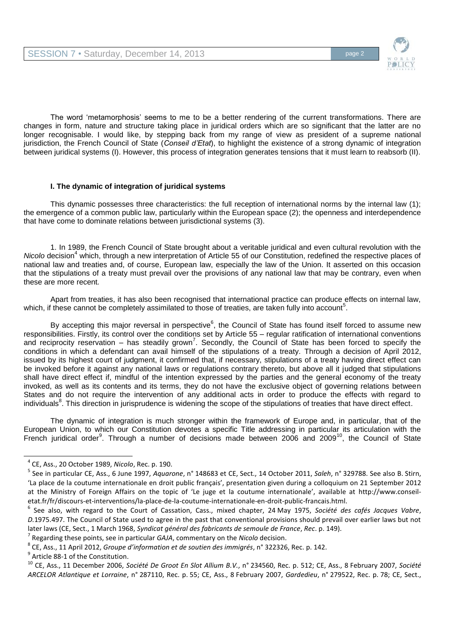

The word 'metamorphosis' seems to me to be a better rendering of the current transformations. There are changes in form, nature and structure taking place in juridical orders which are so significant that the latter are no longer recognisable. I would like, by stepping back from my range of view as president of a supreme national jurisdiction, the French Council of State (*Conseil d'Etat*), to highlight the existence of a strong dynamic of integration between juridical systems (I). However, this process of integration generates tensions that it must learn to reabsorb (II).

## **I. The dynamic of integration of juridical systems**

This dynamic possesses three characteristics: the full reception of international norms by the internal law (1); the emergence of a common public law, particularly within the European space (2); the openness and interdependence that have come to dominate relations between jurisdictional systems (3).

1. In 1989, the French Council of State brought about a veritable juridical and even cultural revolution with the *Nicolo* decision<sup>4</sup> which, through a new interpretation of Article 55 of our Constitution, redefined the respective places of national law and treaties and, of course, European law, especially the law of the Union. It asserted on this occasion that the stipulations of a treaty must prevail over the provisions of any national law that may be contrary, even when these are more recent*.* 

Apart from treaties, it has also been recognised that international practice can produce effects on internal law, which, if these cannot be completely assimilated to those of treaties, are taken fully into account<sup>5</sup>.

By accepting this major reversal in perspective<sup>6</sup>, the Council of State has found itself forced to assume new responsibilities. Firstly, its control over the conditions set by Article 55 – regular ratification of international conventions and reciprocity reservation – has steadily grown<sup>7</sup>. Secondly, the Council of State has been forced to specify the conditions in which a defendant can avail himself of the stipulations of a treaty. Through a decision of April 2012, issued by its highest court of judgment, it confirmed that, if necessary, stipulations of a treaty having direct effect can be invoked before it against any national laws or regulations contrary thereto, but above all it judged that stipulations shall have direct effect if, mindful of the intention expressed by the parties and the general economy of the treaty invoked, as well as its contents and its terms, they do not have the exclusive object of governing relations between States and do not require the intervention of any additional acts in order to produce the effects with regard to individuals<sup>8</sup>. This direction in jurisprudence is widening the scope of the stipulations of treaties that have direct effect.

The dynamic of integration is much stronger within the framework of Europe and, in particular, that of the European Union, to which our Constitution devotes a specific Title addressing in particular its articulation with the French juridical order<sup>9</sup>. Through a number of decisions made between 2006 and 2009<sup>10</sup>, the Council of State

 $^9$  Article 88-1 of the Constitution.

 $\overline{a}$ 

<sup>4</sup> CE, Ass., 20 October 1989, *Nicolo*, Rec. p. 190.

<sup>5</sup> See in particular CE, Ass., 6 June 1997, *Aquarone*, n° 148683 et CE, Sect., 14 October 2011, *Saleh*, n° 329788. See also B. Stirn, 'La place de la coutume internationale en droit public français', presentation given during a colloquium on 21 September 2012 at the Ministry of Foreign Affairs on the topic of 'Le juge et la coutume internationale', available at http://www.conseiletat.fr/fr/discours-et-interventions/la-place-de-la-coutume-internationale-en-droit-public-francais.html.

<sup>6</sup> See also, with regard to the Court of Cassation, Cass., mixed chapter, 24 May 1975, *Société des cafés Jacques Vabre*, *D.*1975.497. The Council of State used to agree in the past that conventional provisions should prevail over earlier laws but not later laws (CE, Sect., 1 March 1968, *Syndicat général des fabricants de semoule de France*, *Rec*. p. 149).

<sup>7</sup> Regarding these points, see in particular *GAJA*, commentary on the *Nicolo* decision.

<sup>8</sup> CE, Ass., 11 April 2012, *Groupe d'information et de soutien des immigrés*, n° 322326, Rec. p. 142.

<sup>10</sup> CE, Ass., 11 December 2006, *Société De Groot En Slot Allium B.V.*, n° 234560, Rec. p. 512; CE, Ass., 8 February 2007, *Société ARCELOR Atlantique et Lorraine*, n° 287110, Rec. p. 55; CE, Ass., 8 February 2007, *Gardedieu*, n° 279522, Rec. p. 78; CE, Sect.,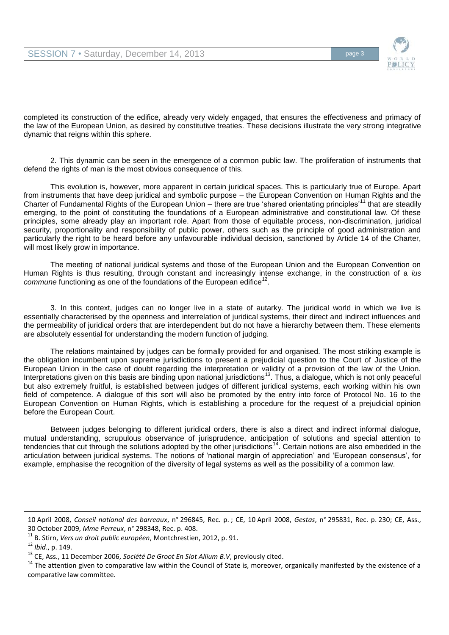

completed its construction of the edifice, already very widely engaged, that ensures the effectiveness and primacy of the law of the European Union, as desired by constitutive treaties*.* These decisions illustrate the very strong integrative dynamic that reigns within this sphere*.*

2. This dynamic can be seen in the emergence of a common public law. The proliferation of instruments that defend the rights of man is the most obvious consequence of this.

This evolution is, however, more apparent in certain juridical spaces. This is particularly true of Europe. Apart from instruments that have deep juridical and symbolic purpose – the European Convention on Human Rights and the Charter of Fundamental Rights of the European Union – there are true 'shared orientating principles<sup> $11$ </sup> that are steadily emerging, to the point of constituting the foundations of a European administrative and constitutional law. Of these principles, some already play an important role. Apart from those of equitable process, non-discrimination, juridical security, proportionality and responsibility of public power, others such as the principle of good administration and particularly the right to be heard before any unfavourable individual decision, sanctioned by Article 14 of the Charter, will most likely grow in importance.

The meeting of national juridical systems and those of the European Union and the European Convention on Human Rights is thus resulting, through constant and increasingly intense exchange, in the construction of a *ius*  commune functioning as one of the foundations of the European edifice<sup>12</sup>.

3. In this context, judges can no longer live in a state of autarky. The juridical world in which we live is essentially characterised by the openness and interrelation of juridical systems, their direct and indirect influences and the permeability of juridical orders that are interdependent but do not have a hierarchy between them. These elements are absolutely essential for understanding the modern function of judging.

The relations maintained by judges can be formally provided for and organised. The most striking example is the obligation incumbent upon supreme jurisdictions to present a prejudicial question to the Court of Justice of the European Union in the case of doubt regarding the interpretation or validity of a provision of the law of the Union. Interpretations given on this basis are binding upon national jurisdictions<sup>13</sup>. Thus, a dialogue, which is not only peaceful but also extremely fruitful, is established between judges of different juridical systems, each working within his own field of competence. A dialogue of this sort will also be promoted by the entry into force of Protocol No. 16 to the European Convention on Human Rights, which is establishing a procedure for the request of a prejudicial opinion before the European Court.

Between judges belonging to different juridical orders, there is also a direct and indirect informal dialogue, mutual understanding, scrupulous observance of jurisprudence, anticipation of solutions and special attention to tendencies that cut through the solutions adopted by the other jurisdictions<sup>14</sup>. Certain notions are also embedded in the articulation between juridical systems. The notions of 'national margin of appreciation' and 'European consensus', for example, emphasise the recognition of the diversity of legal systems as well as the possibility of a common law.

 $\overline{a}$ 

<sup>10</sup> April 2008, *Conseil national des barreaux*, n° 296845, Rec. p. ; CE, 10 April 2008, *Gestas*, n° 295831, Rec. p. 230; CE, Ass., 30 October 2009, *Mme Perreux*, n° 298348, Rec. p. 408.

<sup>11</sup> B. Stirn, *Vers un droit public européen*, Montchrestien, 2012, p. 91.

<sup>12</sup> *Ibid*., p. 149.

<sup>&</sup>lt;sup>13</sup> CE, Ass., 11 December 2006, Société De Groot En Slot Allium B.V, previously cited.

<sup>&</sup>lt;sup>14</sup> The attention given to comparative law within the Council of State is, moreover, organically manifested by the existence of a comparative law committee.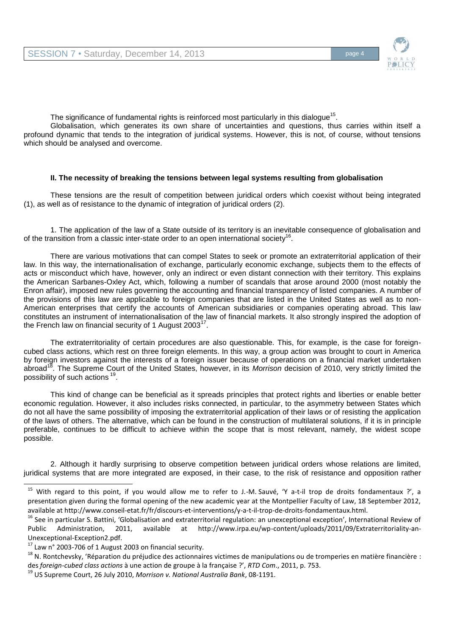

The significance of fundamental rights is reinforced most particularly in this dialogue<sup>15</sup>.

Globalisation, which generates its own share of uncertainties and questions, thus carries within itself a profound dynamic that tends to the integration of juridical systems. However, this is not, of course, without tensions which should be analysed and overcome.

#### **II. The necessity of breaking the tensions between legal systems resulting from globalisation**

These tensions are the result of competition between juridical orders which coexist without being integrated (1), as well as of resistance to the dynamic of integration of juridical orders (2).

1. The application of the law of a State outside of its territory is an inevitable consequence of globalisation and of the transition from a classic inter-state order to an open international society<sup>16</sup>.

There are various motivations that can compel States to seek or promote an extraterritorial application of their law. In this way, the internationalisation of exchange, particularly economic exchange, subjects them to the effects of acts or misconduct which have, however, only an indirect or even distant connection with their territory. This explains the American Sarbanes-Oxley Act, which, following a number of scandals that arose around 2000 (most notably the Enron affair), imposed new rules governing the accounting and financial transparency of listed companies. A number of the provisions of this law are applicable to foreign companies that are listed in the United States as well as to non-American enterprises that certify the accounts of American subsidiaries or companies operating abroad. This law constitutes an instrument of internationalisation of the law of financial markets. It also strongly inspired the adoption of the French law on financial security of 1 August 2003<sup>17</sup>.

The extraterritoriality of certain procedures are also questionable. This, for example, is the case for foreigncubed class actions, which rest on three foreign elements. In this way, a group action was brought to court in America by foreign investors against the interests of a foreign issuer because of operations on a financial market undertaken abroad<sup>18</sup>. The Supreme Court of the United States, however, in its *Morrison* decision of 2010, very strictly limited the possibility of such actions<sup>19</sup>.

This kind of change can be beneficial as it spreads principles that protect rights and liberties or enable better economic regulation. However, it also includes risks connected, in particular, to the asymmetry between States which do not all have the same possibility of imposing the extraterritorial application of their laws or of resisting the application of the laws of others. The alternative, which can be found in the construction of multilateral solutions, if it is in principle preferable, continues to be difficult to achieve within the scope that is most relevant, namely, the widest scope possible.

2. Although it hardly surprising to observe competition between juridical orders whose relations are limited, juridical systems that are more integrated are exposed, in their case, to the risk of resistance and opposition rather

-

 $15$  With regard to this point, if you would allow me to refer to J.-M. Sauvé, 'Y a-t-il trop de droits fondamentaux ?', a presentation given during the formal opening of the new academic year at the Montpellier Faculty of Law, 18 September 2012, available at http://www.conseil-etat.fr/fr/discours-et-interventions/y-a-t-il-trop-de-droits-fondamentaux.html.

<sup>&</sup>lt;sup>16</sup> See in particular S. Battini, 'Globalisation and extraterritorial regulation: an unexceptional exception', International Review of Public Administration, 2011, available at http://www.irpa.eu/wp-content/uploads/2011/09/Extraterritoriality-an-Unexceptional-Exception2.pdf.

 $17$  Law n° 2003-706 of 1 August 2003 on financial security.

 $18$  N. Rontchevsky, 'Réparation du préjudice des actionnaires victimes de manipulations ou de tromperies en matière financière : des *foreign-cubed class actions* à une action de groupe à la française ?', *RTD Com*., 2011, p. 753.

<sup>19</sup> US Supreme Court, 26 July 2010, *Morrison v. National Australia Bank*, 08-1191.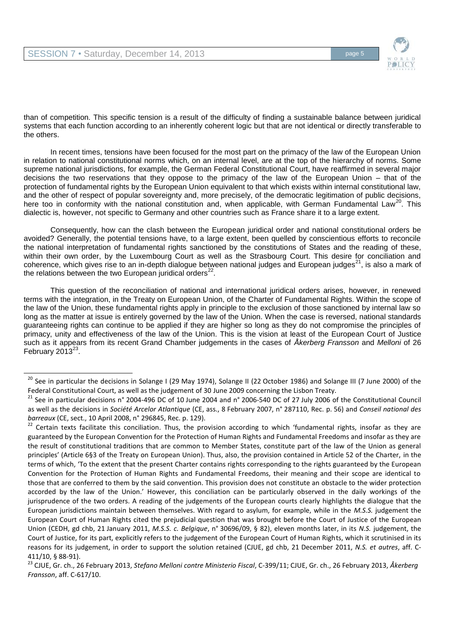$\overline{a}$ 



than of competition. This specific tension is a result of the difficulty of finding a sustainable balance between juridical systems that each function according to an inherently coherent logic but that are not identical or directly transferable to the others.

In recent times, tensions have been focused for the most part on the primacy of the law of the European Union in relation to national constitutional norms which, on an internal level, are at the top of the hierarchy of norms. Some supreme national jurisdictions, for example, the German Federal Constitutional Court, have reaffirmed in several major decisions the two reservations that they oppose to the primacy of the law of the European Union – that of the protection of fundamental rights by the European Union equivalent to that which exists within internal constitutional law, and the other of respect of popular sovereignty and, more precisely, of the democratic legitimation of public decisions, here too in conformity with the national constitution and, when applicable, with German Fundamental Law<sup>20</sup>. This dialectic is, however, not specific to Germany and other countries such as France share it to a large extent.

Consequently, how can the clash between the European juridical order and national constitutional orders be avoided? Generally, the potential tensions have, to a large extent, been quelled by conscientious efforts to reconcile the national interpretation of fundamental rights sanctioned by the constitutions of States and the reading of these, within their own order, by the Luxembourg Court as well as the Strasbourg Court. This desire for conciliation and coherence, which gives rise to an in-depth dialogue between national judges and European judges<sup>21</sup>, is also a mark of the relations between the two European juridical orders $^{22}$ .

This question of the reconciliation of national and international juridical orders arises, however, in renewed terms with the integration, in the Treaty on European Union, of the Charter of Fundamental Rights. Within the scope of the law of the Union, these fundamental rights apply in principle to the exclusion of those sanctioned by internal law so long as the matter at issue is entirely governed by the law of the Union. When the case is reversed, national standards guaranteeing rights can continue to be applied if they are higher so long as they do not compromise the principles of primacy, unity and effectiveness of the law of the Union. This is the vision at least of the European Court of Justice such as it appears from its recent Grand Chamber judgements in the cases of *Åkerberg Fransson* and *Melloni* of 26 February  $2013^{23}$ .

<sup>&</sup>lt;sup>20</sup> See in particular the decisions in Solange I (29 May 1974), Solange II (22 October 1986) and Solange III (7 June 2000) of the Federal Constitutional Court, as well as the judgement of 30 June 2009 concerning the Lisbon Treaty.

<sup>&</sup>lt;sup>21</sup> See in particular decisions n° 2004-496 DC of 10 June 2004 and n° 2006-540 DC of 27 July 2006 of the Constitutional Council as well as the decisions in *Société Arcelor Atlantique* (CE, ass., 8 February 2007, n° 287110, Rec. p. 56) and *Conseil national des barreaux* (CE, sect., 10 April 2008, n° 296845, Rec. p. 129).

<sup>&</sup>lt;sup>22</sup> Certain texts facilitate this conciliation. Thus, the provision according to which 'fundamental rights, insofar as they are guaranteed by the European Convention for the Protection of Human Rights and Fundamental Freedoms and insofar as they are the result of constitutional traditions that are common to Member States, constitute part of the law of the Union as general principles' (Article 6§3 of the Treaty on European Union). Thus, also, the provision contained in Article 52 of the Charter, in the terms of which, 'To the extent that the present Charter contains rights corresponding to the rights guaranteed by the European Convention for the Protection of Human Rights and Fundamental Freedoms, their meaning and their scope are identical to those that are conferred to them by the said convention. This provision does not constitute an obstacle to the wider protection accorded by the law of the Union.' However, this conciliation can be particularly observed in the daily workings of the jurisprudence of the two orders. A reading of the judgements of the European courts clearly highlights the dialogue that the European jurisdictions maintain between themselves. With regard to asylum, for example, while in the *M.S.S.* judgement the European Court of Human Rights cited the prejudicial question that was brought before the Court of Justice of the European Union (CEDH, gd chb, 21 January 2011, *M.S.S. c. Belgique*, n° 30696/09, § 82), eleven months later, in its *N.S.* judgement, the Court of Justice, for its part, explicitly refers to the judgement of the European Court of Human Rights, which it scrutinised in its reasons for its judgement, in order to support the solution retained (CJUE, gd chb, 21 December 2011, *N.S. et autres*, aff. C-411/10, § 88-91).

<sup>23</sup> CJUE, Gr. ch., 26 February 2013, *Stefano Melloni contre Ministerio Fiscal*, C-399/11; CJUE, Gr. ch., 26 February 2013, *Åkerberg Fransson*, aff. C-617/10.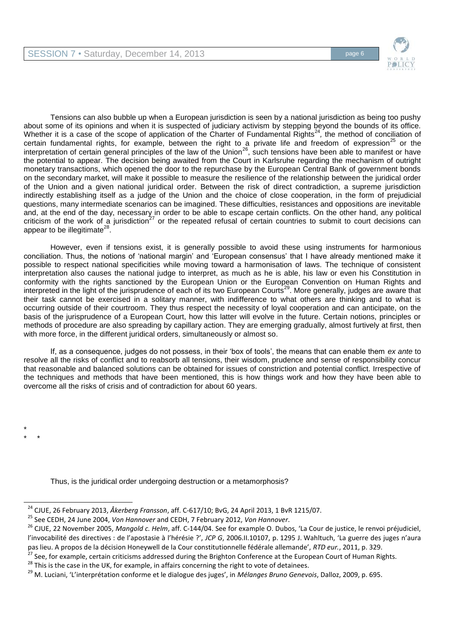

Tensions can also bubble up when a European jurisdiction is seen by a national jurisdiction as being too pushy about some of its opinions and when it is suspected of judiciary activism by stepping beyond the bounds of its office. Whether it is a case of the scope of application of the Charter of Fundamental Rights<sup>24</sup>, the method of conciliation of certain fundamental rights, for example, between the right to a private life and freedom of expression<sup>25</sup> or the interpretation of certain general principles of the law of the Union<sup>26</sup>, such tensions have been able to manifest or have the potential to appear. The decision being awaited from the Court in Karlsruhe regarding the mechanism of outright monetary transactions, which opened the door to the repurchase by the European Central Bank of government bonds on the secondary market, will make it possible to measure the resilience of the relationship between the juridical order of the Union and a given national juridical order. Between the risk of direct contradiction, a supreme jurisdiction indirectly establishing itself as a judge of the Union and the choice of close cooperation, in the form of prejudicial questions, many intermediate scenarios can be imagined. These difficulties, resistances and oppositions are inevitable and, at the end of the day, necessary in order to be able to escape certain conflicts. On the other hand, any political criticism of the work of a jurisdiction<sup>27</sup> or the repeated refusal of certain countries to submit to court decisions can appear to be illegitimate $^{28}$ .

However, even if tensions exist, it is generally possible to avoid these using instruments for harmonious conciliation. Thus, the notions of 'national margin' and 'European consensus' that I have already mentioned make it possible to respect national specificities while moving toward a harmonisation of laws. The technique of consistent interpretation also causes the national judge to interpret, as much as he is able, his law or even his Constitution in conformity with the rights sanctioned by the European Union or the European Convention on Human Rights and interpreted in the light of the jurisprudence of each of its two European Courts<sup>29</sup>. More generally, judges are aware that their task cannot be exercised in a solitary manner, with indifference to what others are thinking and to what is occurring outside of their courtroom. They thus respect the necessity of loyal cooperation and can anticipate, on the basis of the jurisprudence of a European Court, how this latter will evolve in the future. Certain notions, principles or methods of procedure are also spreading by capillary action. They are emerging gradually, almost furtively at first, then with more force, in the different juridical orders, simultaneously or almost so.

If, as a consequence, judges do not possess, in their 'box of tools', the means that can enable them *ex ante* to resolve all the risks of conflict and to reabsorb all tensions, their wisdom, prudence and sense of responsibility concur that reasonable and balanced solutions can be obtained for issues of constriction and potential conflict. Irrespective of the techniques and methods that have been mentioned, this is how things work and how they have been able to overcome all the risks of crisis and of contradiction for about 60 years.

Thus, is the juridical order undergoing destruction or a metamorphosis?

\* \* \*

l

<sup>27</sup> See, for example, certain criticisms addressed during the Brighton Conference at the European Court of Human Rights.

 $28$  This is the case in the UK, for example, in affairs concerning the right to vote of detainees.

<sup>24</sup> CJUE, 26 February 2013, *Åkerberg Fransson*, aff. C-617/10; BvG, 24 April 2013, 1 BvR 1215/07.

<sup>25</sup> See CEDH, 24 June 2004, *Von Hannover* and CEDH, 7 February 2012, *Von Hannover*.

<sup>26</sup> CJUE, 22 November 2005, *Mangold c. Helm*, aff. C-144/04. See for example O. Dubos, 'La Cour de justice, le renvoi préjudiciel, l'invocabilité des directives : de l'apostasie à l'hérésie ?', *JCP G*, 2006.II.10107, p. 1295 J. Wahltuch, 'La guerre des juges n'aura pas lieu. A propos de la décision Honeywell de la Cour constitutionnelle fédérale allemande', *RTD eur.*, 2011, p. 329.

<sup>29</sup> M. Luciani, 'L'interprétation conforme et le dialogue des juges', in *Mélanges Bruno Genevois*, Dalloz, 2009, p. 695.